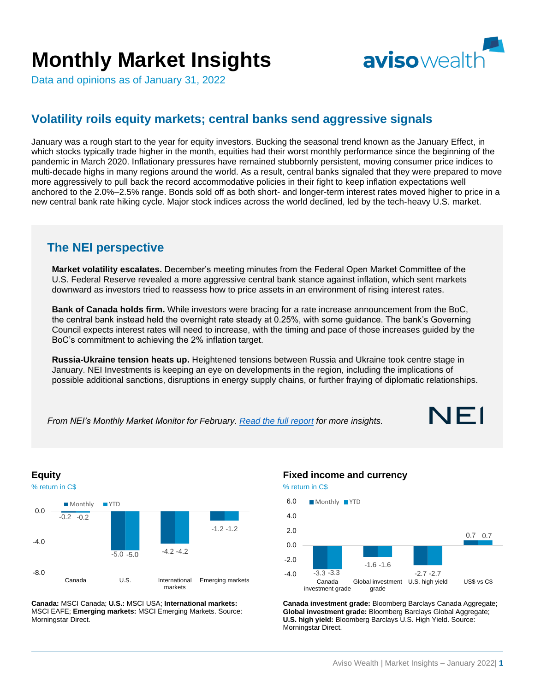# **Monthly Market Insights**



Data and opinions as of January 31, 2022

## **Volatility roils equity markets; central banks send aggressive signals**

January was a rough start to the year for equity investors. Bucking the seasonal trend known as the January Effect, in which stocks typically trade higher in the month, equities had their worst monthly performance since the beginning of the pandemic in March 2020. Inflationary pressures have remained stubbornly persistent, moving consumer price indices to multi-decade highs in many regions around the world. As a result, central banks signaled that they were prepared to move more aggressively to pull back the record accommodative policies in their fight to keep inflation expectations well anchored to the 2.0%–2.5% range. Bonds sold off as both short- and longer-term interest rates moved higher to price in a new central bank rate hiking cycle. Major stock indices across the world declined, led by the tech-heavy U.S. market.

### **The NEI perspective**

**Market volatility escalates.** December's meeting minutes from the Federal Open Market Committee of the U.S. Federal Reserve revealed a more aggressive central bank stance against inflation, which sent markets downward as investors tried to reassess how to price assets in an environment of rising interest rates.

**Bank of Canada holds firm.** While investors were bracing for a rate increase announcement from the BoC, the central bank instead held the overnight rate steady at 0.25%, with some guidance. The bank's Governing Council expects interest rates will need to increase, with the timing and pace of those increases guided by the BoC's commitment to achieving the 2% inflation target.

**Russia-Ukraine tension heats up.** Heightened tensions between Russia and Ukraine took centre stage in January. NEI Investments is keeping an eye on developments in the region, including the implications of possible additional sanctions, disruptions in energy supply chains, or further fraying of diplomatic relationships.

*From NEI's Monthly Market Monitor for February. [Read the full](https://email.neiinvestments.com/l/405502/2022-02-08/c2vxb1/405502/1644339068IL3J0ZDJ/2200066E_NEI_Monthly_Market_Monitor_Feb___AODA.En.pdf) report for more insights.*





**Canada:** MSCI Canada; **U.S.:** MSCI USA; **International markets:** MSCI EAFE; **Emerging markets:** MSCI Emerging Markets. Source: Morningstar Direct.

#### **Fixed income and currency**



**Canada investment grade:** Bloomberg Barclays Canada Aggregate; **Global investment grade:** Bloomberg Barclays Global Aggregate; **U.S. high yield:** Bloomberg Barclays U.S. High Yield. Source: Morningstar Direct.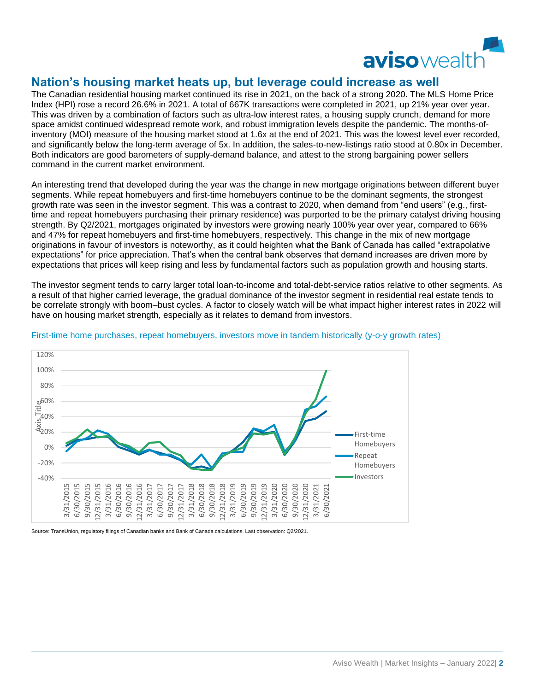

#### **Nation's housing market heats up, but leverage could increase as well**

The Canadian residential housing market continued its rise in 2021, on the back of a strong 2020. The MLS Home Price Index (HPI) rose a record 26.6% in 2021. A total of 667K transactions were completed in 2021, up 21% year over year. This was driven by a combination of factors such as ultra-low interest rates, a housing supply crunch, demand for more space amidst continued widespread remote work, and robust immigration levels despite the pandemic. The months-ofinventory (MOI) measure of the housing market stood at 1.6x at the end of 2021. This was the lowest level ever recorded, and significantly below the long-term average of 5x. In addition, the sales-to-new-listings ratio stood at 0.80x in December. Both indicators are good barometers of supply-demand balance, and attest to the strong bargaining power sellers command in the current market environment.

An interesting trend that developed during the year was the change in new mortgage originations between different buyer segments. While repeat homebuyers and first-time homebuyers continue to be the dominant segments, the strongest growth rate was seen in the investor segment. This was a contrast to 2020, when demand from "end users" (e.g., firsttime and repeat homebuyers purchasing their primary residence) was purported to be the primary catalyst driving housing strength. By Q2/2021, mortgages originated by investors were growing nearly 100% year over year, compared to 66% and 47% for repeat homebuyers and first-time homebuyers, respectively. This change in the mix of new mortgage originations in favour of investors is noteworthy, as it could heighten what the Bank of Canada has called "extrapolative expectations" for price appreciation. That's when the central bank observes that demand increases are driven more by expectations that prices will keep rising and less by fundamental factors such as population growth and housing starts.

The investor segment tends to carry larger total loan-to-income and total-debt-service ratios relative to other segments. As a result of that higher carried leverage, the gradual dominance of the investor segment in residential real estate tends to be correlate strongly with boom–bust cycles. A factor to closely watch will be what impact higher interest rates in 2022 will have on housing market strength, especially as it relates to demand from investors.



#### First-time home purchases, repeat homebuyers, investors move in tandem historically (y-o-y growth rates)

Source: TransUnion, regulatory filings of Canadian banks and Bank of Canada calculations. Last observation: Q2/2021.